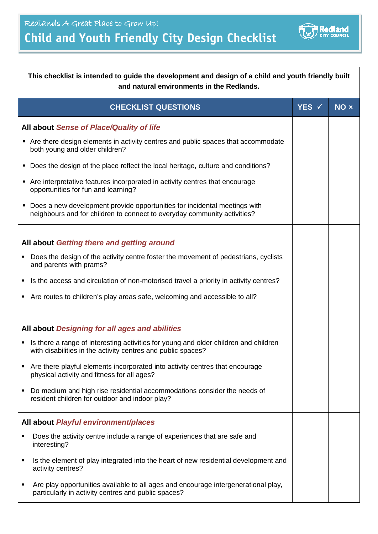## **Child and Youth Friendly City Design Checklist**



| This checklist is intended to guide the development and design of a child and youth friendly built<br>and natural environments in the Redlands.           |                  |      |  |
|-----------------------------------------------------------------------------------------------------------------------------------------------------------|------------------|------|--|
| <b>CHECKLIST QUESTIONS</b>                                                                                                                                | YES $\checkmark$ | NO x |  |
| All about Sense of Place/Quality of life                                                                                                                  |                  |      |  |
| ■ Are there design elements in activity centres and public spaces that accommodate<br>both young and older children?                                      |                  |      |  |
| Does the design of the place reflect the local heritage, culture and conditions?<br>٠                                                                     |                  |      |  |
| Are interpretative features incorporated in activity centres that encourage<br>opportunities for fun and learning?                                        |                  |      |  |
| Does a new development provide opportunities for incidental meetings with<br>neighbours and for children to connect to everyday community activities?     |                  |      |  |
| All about Getting there and getting around                                                                                                                |                  |      |  |
| Does the design of the activity centre foster the movement of pedestrians, cyclists<br>٠<br>and parents with prams?                                       |                  |      |  |
| Is the access and circulation of non-motorised travel a priority in activity centres?<br>٠                                                                |                  |      |  |
| Are routes to children's play areas safe, welcoming and accessible to all?<br>٠                                                                           |                  |      |  |
| All about Designing for all ages and abilities                                                                                                            |                  |      |  |
| Is there a range of interesting activities for young and older children and children<br>٠<br>with disabilities in the activity centres and public spaces? |                  |      |  |
| Are there playful elements incorporated into activity centres that encourage<br>٠<br>physical activity and fitness for all ages?                          |                  |      |  |
| Do medium and high rise residential accommodations consider the needs of<br>٠<br>resident children for outdoor and indoor play?                           |                  |      |  |
| All about Playful environment/places                                                                                                                      |                  |      |  |
| Does the activity centre include a range of experiences that are safe and<br>Ξ<br>interesting?                                                            |                  |      |  |
| Is the element of play integrated into the heart of new residential development and<br>٠<br>activity centres?                                             |                  |      |  |
| Are play opportunities available to all ages and encourage intergenerational play,<br>٠<br>particularly in activity centres and public spaces?            |                  |      |  |